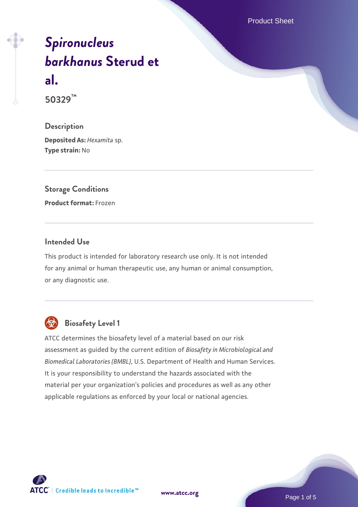Product Sheet

# *[Spironucleus](https://www.atcc.org/products/50329) [barkhanus](https://www.atcc.org/products/50329)* **[Sterud et](https://www.atcc.org/products/50329) [al.](https://www.atcc.org/products/50329)**

**50329™**

**Description Deposited As:** *Hexamita* sp. **Type strain:** No

# **Storage Conditions**

**Product format:** Frozen

#### **Intended Use**

This product is intended for laboratory research use only. It is not intended for any animal or human therapeutic use, any human or animal consumption, or any diagnostic use.



# **Biosafety Level 1**

ATCC determines the biosafety level of a material based on our risk assessment as guided by the current edition of *Biosafety in Microbiological and Biomedical Laboratories (BMBL)*, U.S. Department of Health and Human Services. It is your responsibility to understand the hazards associated with the material per your organization's policies and procedures as well as any other applicable regulations as enforced by your local or national agencies.



Page 1 of 5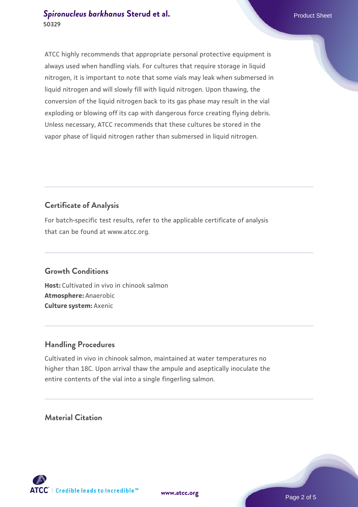ATCC highly recommends that appropriate personal protective equipment is always used when handling vials. For cultures that require storage in liquid nitrogen, it is important to note that some vials may leak when submersed in liquid nitrogen and will slowly fill with liquid nitrogen. Upon thawing, the conversion of the liquid nitrogen back to its gas phase may result in the vial exploding or blowing off its cap with dangerous force creating flying debris. Unless necessary, ATCC recommends that these cultures be stored in the vapor phase of liquid nitrogen rather than submersed in liquid nitrogen.

# **Certificate of Analysis**

For batch-specific test results, refer to the applicable certificate of analysis that can be found at www.atcc.org.

# **Growth Conditions**

**Host:** Cultivated in vivo in chinook salmon **Atmosphere:** Anaerobic **Culture system:** Axenic

# **Handling Procedures**

Cultivated in vivo in chinook salmon, maintained at water temperatures no higher than 18C. Upon arrival thaw the ampule and aseptically inoculate the entire contents of the vial into a single fingerling salmon.

**Material Citation**

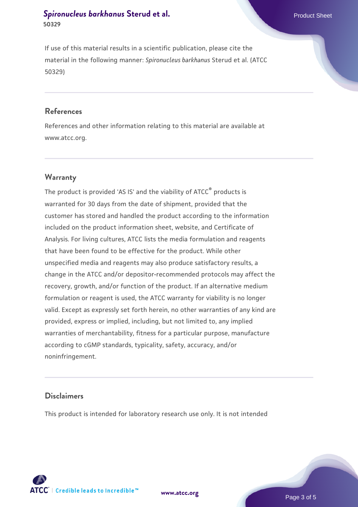If use of this material results in a scientific publication, please cite the material in the following manner: *Spironucleus barkhanus* Sterud et al. (ATCC 50329)

#### **References**

References and other information relating to this material are available at www.atcc.org.

#### **Warranty**

The product is provided 'AS IS' and the viability of ATCC<sup>®</sup> products is warranted for 30 days from the date of shipment, provided that the customer has stored and handled the product according to the information included on the product information sheet, website, and Certificate of Analysis. For living cultures, ATCC lists the media formulation and reagents that have been found to be effective for the product. While other unspecified media and reagents may also produce satisfactory results, a change in the ATCC and/or depositor-recommended protocols may affect the recovery, growth, and/or function of the product. If an alternative medium formulation or reagent is used, the ATCC warranty for viability is no longer valid. Except as expressly set forth herein, no other warranties of any kind are provided, express or implied, including, but not limited to, any implied warranties of merchantability, fitness for a particular purpose, manufacture according to cGMP standards, typicality, safety, accuracy, and/or noninfringement.

## **Disclaimers**

This product is intended for laboratory research use only. It is not intended





Page 3 of 5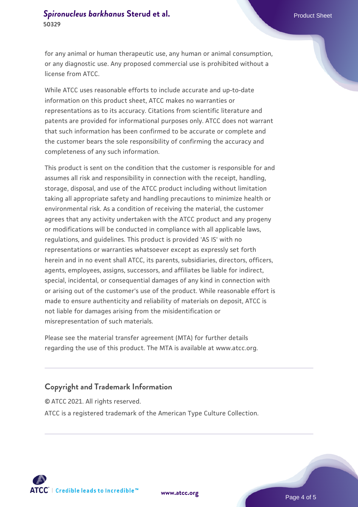for any animal or human therapeutic use, any human or animal consumption, or any diagnostic use. Any proposed commercial use is prohibited without a license from ATCC.

While ATCC uses reasonable efforts to include accurate and up-to-date information on this product sheet, ATCC makes no warranties or representations as to its accuracy. Citations from scientific literature and patents are provided for informational purposes only. ATCC does not warrant that such information has been confirmed to be accurate or complete and the customer bears the sole responsibility of confirming the accuracy and completeness of any such information.

This product is sent on the condition that the customer is responsible for and assumes all risk and responsibility in connection with the receipt, handling, storage, disposal, and use of the ATCC product including without limitation taking all appropriate safety and handling precautions to minimize health or environmental risk. As a condition of receiving the material, the customer agrees that any activity undertaken with the ATCC product and any progeny or modifications will be conducted in compliance with all applicable laws, regulations, and guidelines. This product is provided 'AS IS' with no representations or warranties whatsoever except as expressly set forth herein and in no event shall ATCC, its parents, subsidiaries, directors, officers, agents, employees, assigns, successors, and affiliates be liable for indirect, special, incidental, or consequential damages of any kind in connection with or arising out of the customer's use of the product. While reasonable effort is made to ensure authenticity and reliability of materials on deposit, ATCC is not liable for damages arising from the misidentification or misrepresentation of such materials.

Please see the material transfer agreement (MTA) for further details regarding the use of this product. The MTA is available at www.atcc.org.

#### **Copyright and Trademark Information**

© ATCC 2021. All rights reserved. ATCC is a registered trademark of the American Type Culture Collection.